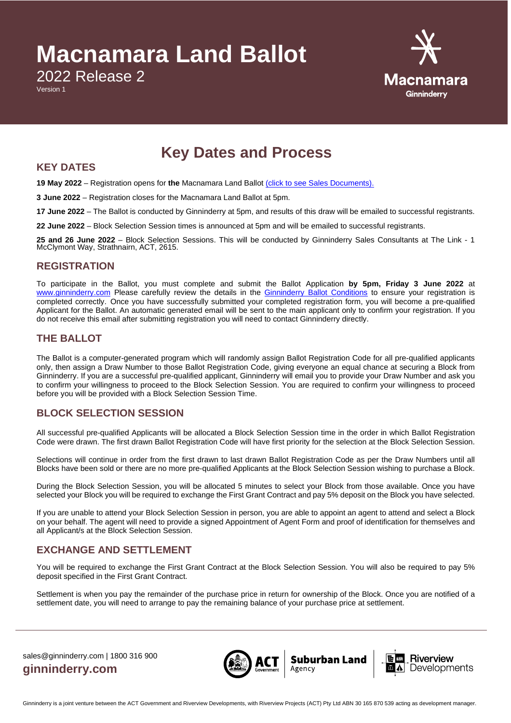# **Macnamara Land Ballot**

2022 Release 2

Version 1



# **Key Dates and Process**

#### **KEY DATES**

**19 May 2022** – Registration opens for **the** Macnamara Land Ballot [\(click to see Sales Documents\).](https://ginninderry.com/macnamara-second-release/)

**3 June 2022** – Registration closes for the Macnamara Land Ballot at 5pm.

**17 June 2022** – The Ballot is conducted by Ginninderry at 5pm, and results of this draw will be emailed to successful registrants.

**22 June 2022** – Block Selection Session times is announced at 5pm and will be emailed to successful registrants.

**25 and 26 June 2022** – Block Selection Sessions. This will be conducted by Ginninderry Sales Consultants at The Link - 1 McClymont Way, Strathnairn, ACT, 2615.

### **REGISTRATION**

To participate in the Ballot, you must complete and submit the Ballot Application **by 5pm, Friday 3 June 2022** at [www.ginninderry.com](https://ginninderry.runway.com.au/ballotregistrationform) Please carefully review the details in the [Ginninderry Ballot Conditions](https://ginninderry.com/wp-content/uploads/2022/05/220518_Land-Ballot-Conditions.pdf) to ensure your registration is completed correctly. Once you have successfully submitted your completed registration form, you will become a pre-qualified Applicant for the Ballot. An automatic generated email will be sent to the main applicant only to confirm your registration. If you do not receive this email after submitting registration you will need to contact Ginninderry directly.

### **THE BALLOT**

The Ballot is a computer-generated program which will randomly assign Ballot Registration Code for all pre-qualified applicants only, then assign a Draw Number to those Ballot Registration Code, giving everyone an equal chance at securing a Block from Ginninderry. If you are a successful pre-qualified applicant, Ginninderry will email you to provide your Draw Number and ask you to confirm your willingness to proceed to the Block Selection Session. You are required to confirm your willingness to proceed before you will be provided with a Block Selection Session Time.

## **BLOCK SELECTION SESSION**

All successful pre-qualified Applicants will be allocated a Block Selection Session time in the order in which Ballot Registration Code were drawn. The first drawn Ballot Registration Code will have first priority for the selection at the Block Selection Session.

Selections will continue in order from the first drawn to last drawn Ballot Registration Code as per the Draw Numbers until all Blocks have been sold or there are no more pre-qualified Applicants at the Block Selection Session wishing to purchase a Block.

During the Block Selection Session, you will be allocated 5 minutes to select your Block from those available. Once you have selected your Block you will be required to exchange the First Grant Contract and pay 5% deposit on the Block you have selected.

If you are unable to attend your Block Selection Session in person, you are able to appoint an agent to attend and select a Block on your behalf. The agent will need to provide a signed Appointment of Agent Form and proof of identification for themselves and all Applicant/s at the Block Selection Session.

## **EXCHANGE AND SETTLEMENT**

You will be required to exchange the First Grant Contract at the Block Selection Session. You will also be required to pay 5% deposit specified in the First Grant Contract.

Settlement is when you pay the remainder of the purchase price in return for ownership of the Block. Once you are notified of a settlement date, you will need to arrange to pay the remaining balance of your purchase price at settlement.

sales@ginninderry.com | 1800 316 900 **ginninderry.com**